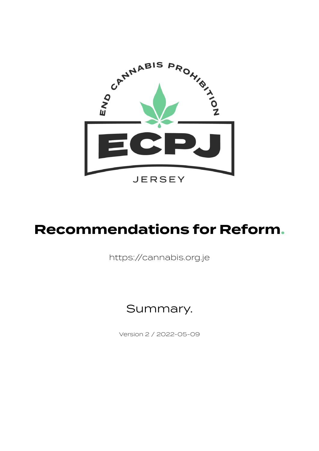

# **Recommendations for Reform.**

https://cannabis.org.je

#### Summary.

Version 2 / 2022-05-09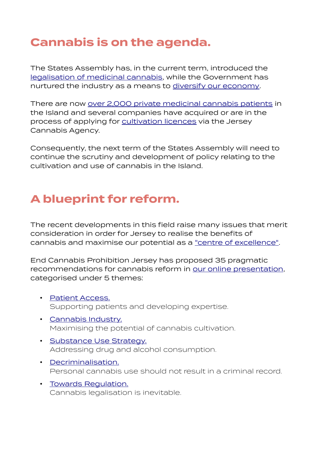### **Cannabis is on the agenda.**

The States Assembly has, in the current term, introduced the [legalisation of medicinal cannabis](https://statesassembly.gov.je/Pages/Propositions.aspx?ref=P.113/2018), while the Government has nurtured the industry as a means to [diversify our economy](https://www.gov.je/SiteCollectionDocuments/Government%20and%20administration/R%20Rural%20Economy%20Strategy%202017-2021%2020170213KLB.pdf).

There are now [over 2,000 private medicinal cannabis patients](https://jerseyeveningpost.com/news/2021/11/14/channel-islands-leading-europe-on-medical-cannabis/) in the Island and several companies have acquired or are in the process of applying for [cultivation licences](https://www.youtube.com/watch?v=_r7h1s0vlVA) via the Jersey Cannabis Agency.

Consequently, the next term of the States Assembly will need to continue the scrutiny and development of policy relating to the cultivation and use of cannabis in the Island.

#### **A blueprint for reform.**

The recent developments in this field raise many issues that merit consideration in order for Jersey to realise the benefits of cannabis and maximise our potential as a ["centre of excellence"](https://canex.co.uk/jersey-cannabis-industry/).

End Cannabis Prohibition Jersey has proposed 35 pragmatic recommendations for cannabis reform in [our online presentation,](https://cannabis.org.je/) categorised under 5 themes:

- • [Patient Access.](https://cannabis.org.je/patient-access/) Supporting patients and developing expertise.
- • [Cannabis Industry.](https://cannabis.org.je/cannabis-industry/) Maximising the potential of cannabis cultivation.
- • [Substance Use Strategy.](https://cannabis.org.je/substance-use-strategy/) Addressing drug and alcohol consumption.
- • [Decriminalisation.](https://cannabis.org.je/decriminalisation/) Personal cannabis use should not result in a criminal record.
- • [Towards Regulation.](https://cannabis.org.je/towards-regulation/) Cannabis legalisation is inevitable.